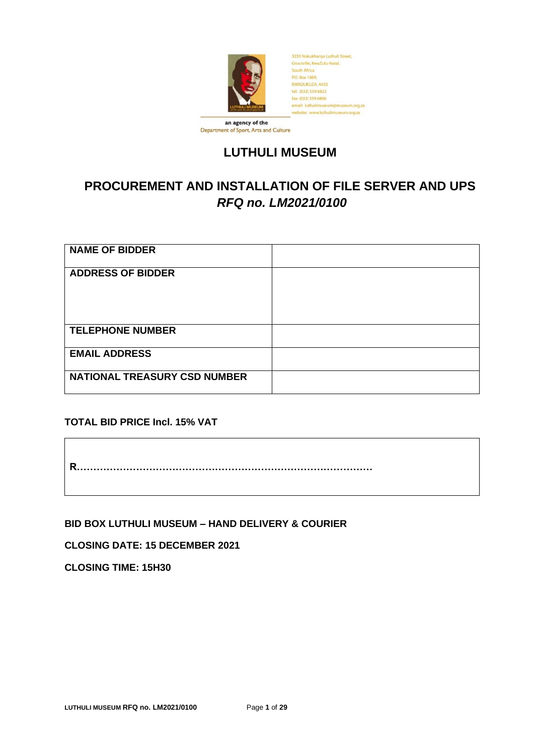

Department of Sport, Arts and Culture

# **LUTHULI MUSEUM**

# **PROCUREMENT AND INSTALLATION OF FILE SERVER AND UPS** *RFQ no. LM2021/0100*

| <b>NAME OF BIDDER</b>               |  |
|-------------------------------------|--|
| <b>ADDRESS OF BIDDER</b>            |  |
| <b>TELEPHONE NUMBER</b>             |  |
| <b>EMAIL ADDRESS</b>                |  |
| <b>NATIONAL TREASURY CSD NUMBER</b> |  |

**TOTAL BID PRICE Incl. 15% VAT**

**R………………………………………………………………………………**

**BID BOX LUTHULI MUSEUM – HAND DELIVERY & COURIER**

**CLOSING DATE: 15 DECEMBER 2021**

**CLOSING TIME: 15H30**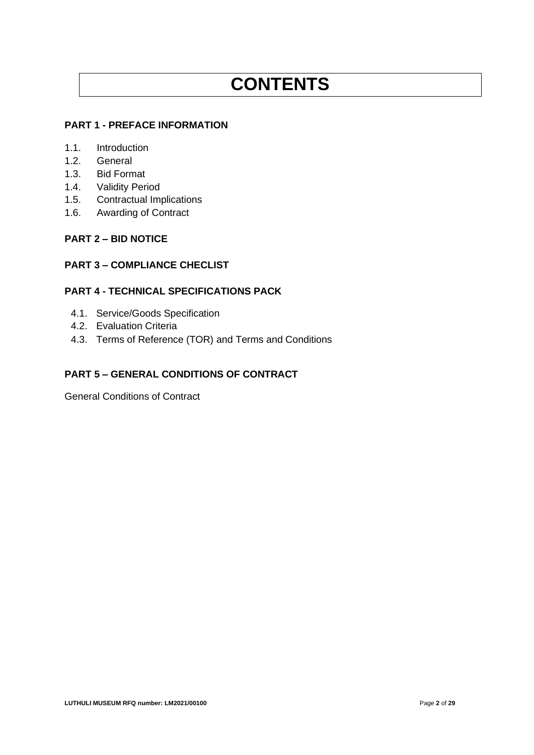# **CONTENTS**

# **PART 1 - PREFACE INFORMATION**

- 1.1. Introduction
- 1.2. General
- 1.3. Bid Format
- 1.4. Validity Period
- 1.5. Contractual Implications
- 1.6. Awarding of Contract

#### **PART 2 – BID NOTICE**

#### **PART 3 – COMPLIANCE CHECLIST**

# **PART 4 - TECHNICAL SPECIFICATIONS PACK**

- 4.1. Service/Goods Specification
- 4.2. Evaluation Criteria
- 4.3. Terms of Reference (TOR) and Terms and Conditions

### **PART 5 – GENERAL CONDITIONS OF CONTRACT**

General Conditions of Contract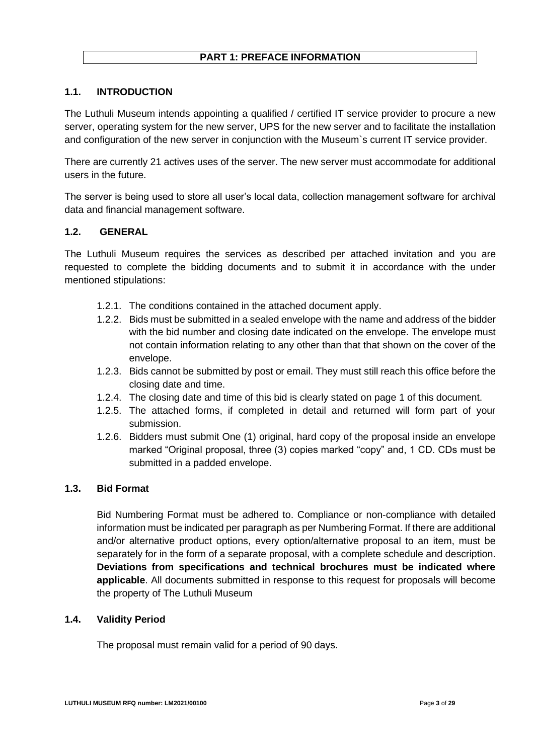# **PART 1: PREFACE INFORMATION**

### **1.1. INTRODUCTION**

The Luthuli Museum intends appointing a qualified / certified IT service provider to procure a new server, operating system for the new server, UPS for the new server and to facilitate the installation and configuration of the new server in conjunction with the Museum`s current IT service provider.

There are currently 21 actives uses of the server. The new server must accommodate for additional users in the future.

The server is being used to store all user's local data, collection management software for archival data and financial management software.

#### **1.2. GENERAL**

The Luthuli Museum requires the services as described per attached invitation and you are requested to complete the bidding documents and to submit it in accordance with the under mentioned stipulations:

- 1.2.1. The conditions contained in the attached document apply.
- 1.2.2. Bids must be submitted in a sealed envelope with the name and address of the bidder with the bid number and closing date indicated on the envelope. The envelope must not contain information relating to any other than that that shown on the cover of the envelope.
- 1.2.3. Bids cannot be submitted by post or email. They must still reach this office before the closing date and time.
- 1.2.4. The closing date and time of this bid is clearly stated on page 1 of this document.
- 1.2.5. The attached forms, if completed in detail and returned will form part of your submission.
- 1.2.6. Bidders must submit One (1) original, hard copy of the proposal inside an envelope marked "Original proposal, three (3) copies marked "copy" and, 1 CD. CDs must be submitted in a padded envelope.

#### **1.3. Bid Format**

Bid Numbering Format must be adhered to. Compliance or non-compliance with detailed information must be indicated per paragraph as per Numbering Format. If there are additional and/or alternative product options, every option/alternative proposal to an item, must be separately for in the form of a separate proposal, with a complete schedule and description. **Deviations from specifications and technical brochures must be indicated where applicable**. All documents submitted in response to this request for proposals will become the property of The Luthuli Museum

#### **1.4. Validity Period**

The proposal must remain valid for a period of 90 days.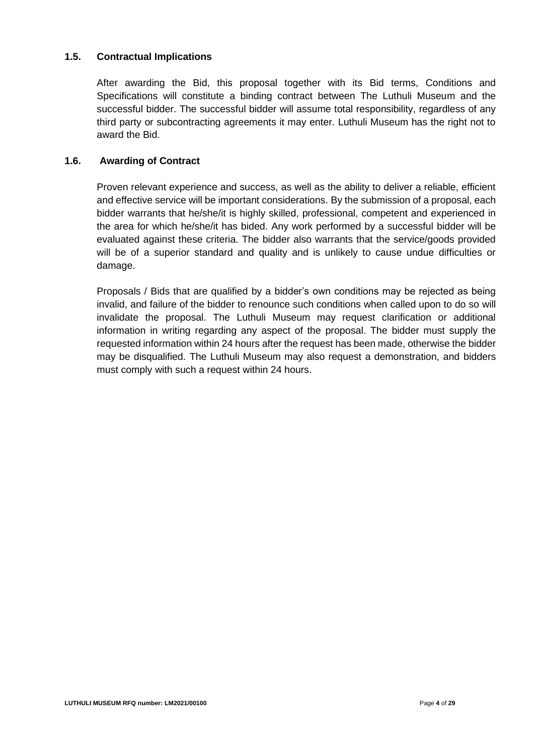#### **1.5. Contractual Implications**

After awarding the Bid, this proposal together with its Bid terms, Conditions and Specifications will constitute a binding contract between The Luthuli Museum and the successful bidder. The successful bidder will assume total responsibility, regardless of any third party or subcontracting agreements it may enter. Luthuli Museum has the right not to award the Bid.

#### **1.6. Awarding of Contract**

Proven relevant experience and success, as well as the ability to deliver a reliable, efficient and effective service will be important considerations. By the submission of a proposal, each bidder warrants that he/she/it is highly skilled, professional, competent and experienced in the area for which he/she/it has bided. Any work performed by a successful bidder will be evaluated against these criteria. The bidder also warrants that the service/goods provided will be of a superior standard and quality and is unlikely to cause undue difficulties or damage.

Proposals / Bids that are qualified by a bidder's own conditions may be rejected as being invalid, and failure of the bidder to renounce such conditions when called upon to do so will invalidate the proposal. The Luthuli Museum may request clarification or additional information in writing regarding any aspect of the proposal. The bidder must supply the requested information within 24 hours after the request has been made, otherwise the bidder may be disqualified. The Luthuli Museum may also request a demonstration, and bidders must comply with such a request within 24 hours.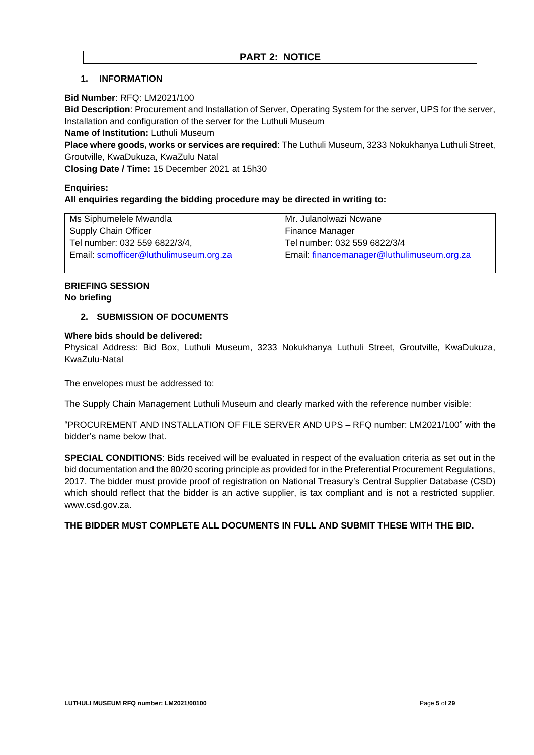#### **1. INFORMATION**

#### **Bid Number**: RFQ: LM2021/100

**Bid Description**: Procurement and Installation of Server, Operating System for the server, UPS for the server, Installation and configuration of the server for the Luthuli Museum

**Name of Institution:** Luthuli Museum

**Place where goods, works or services are required**: The Luthuli Museum, 3233 Nokukhanya Luthuli Street, Groutville, KwaDukuza, KwaZulu Natal

**Closing Date / Time:** 15 December 2021 at 15h30

# **Enquiries: All enquiries regarding the bidding procedure may be directed in writing to:**

| Ms Siphumelele Mwandla                 | Mr. Julanolwazi Ncwane                     |
|----------------------------------------|--------------------------------------------|
| <b>Supply Chain Officer</b>            | Finance Manager                            |
| Tel number: 032 559 6822/3/4,          | Tel number: 032 559 6822/3/4               |
| Email: scmofficer@luthulimuseum.org.za | Email: financemanager@luthulimuseum.org.za |
|                                        |                                            |

#### **BRIEFING SESSION No briefing**

#### **2. SUBMISSION OF DOCUMENTS**

#### **Where bids should be delivered:**

Physical Address: Bid Box, Luthuli Museum, 3233 Nokukhanya Luthuli Street, Groutville, KwaDukuza, KwaZulu-Natal

The envelopes must be addressed to:

The Supply Chain Management Luthuli Museum and clearly marked with the reference number visible:

"PROCUREMENT AND INSTALLATION OF FILE SERVER AND UPS – RFQ number: LM2021/100" with the bidder's name below that.

**SPECIAL CONDITIONS**: Bids received will be evaluated in respect of the evaluation criteria as set out in the bid documentation and the 80/20 scoring principle as provided for in the Preferential Procurement Regulations, 2017. The bidder must provide proof of registration on National Treasury's Central Supplier Database (CSD) which should reflect that the bidder is an active supplier, is tax compliant and is not a restricted supplier. www.csd.gov.za.

#### **THE BIDDER MUST COMPLETE ALL DOCUMENTS IN FULL AND SUBMIT THESE WITH THE BID.**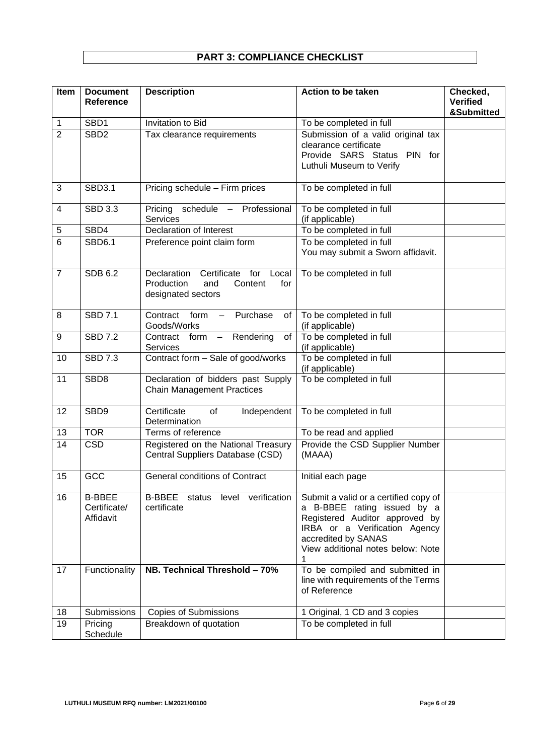# **PART 3: COMPLIANCE CHECKLIST**

| Item           | <b>Document</b><br>Reference               | <b>Description</b>                                                                                      | Action to be taken                                                                                                                                                                                  | Checked,<br><b>Verified</b><br>&Submitted |
|----------------|--------------------------------------------|---------------------------------------------------------------------------------------------------------|-----------------------------------------------------------------------------------------------------------------------------------------------------------------------------------------------------|-------------------------------------------|
| 1              | SBD1                                       | Invitation to Bid                                                                                       | To be completed in full                                                                                                                                                                             |                                           |
| $\overline{2}$ | SBD <sub>2</sub>                           | Tax clearance requirements                                                                              | Submission of a valid original tax<br>clearance certificate<br>PIN for<br>Provide SARS Status<br>Luthuli Museum to Verify                                                                           |                                           |
| 3              | <b>SBD3.1</b>                              | Pricing schedule - Firm prices                                                                          | To be completed in full                                                                                                                                                                             |                                           |
| 4              | <b>SBD 3.3</b>                             | schedule<br>Professional<br>Pricing<br>$\overline{\phantom{0}}$<br><b>Services</b>                      | To be completed in full<br>(if applicable)                                                                                                                                                          |                                           |
| 5              | SBD4                                       | <b>Declaration of Interest</b>                                                                          | To be completed in full                                                                                                                                                                             |                                           |
| 6              | <b>SBD6.1</b>                              | Preference point claim form                                                                             | To be completed in full<br>You may submit a Sworn affidavit.                                                                                                                                        |                                           |
| $\overline{7}$ | <b>SDB 6.2</b>                             | Declaration<br>Certificate<br>for<br>Local<br>Production<br>Content<br>for<br>and<br>designated sectors | To be completed in full                                                                                                                                                                             |                                           |
| 8              | <b>SBD 7.1</b>                             | Contract<br>Purchase<br>form<br>of<br>Goods/Works                                                       | To be completed in full<br>(if applicable)                                                                                                                                                          |                                           |
| 9              | <b>SBD 7.2</b>                             | $\overline{\phantom{a}}$ form<br>Rendering<br>Contract<br>of<br>$\overline{\phantom{m}}$<br>Services    | To be completed in full<br>(if applicable)                                                                                                                                                          |                                           |
| 10             | <b>SBD 7.3</b>                             | Contract form - Sale of good/works                                                                      | To be completed in full<br>(if applicable)                                                                                                                                                          |                                           |
| 11             | SBD8                                       | Declaration of bidders past Supply<br><b>Chain Management Practices</b>                                 | To be completed in full                                                                                                                                                                             |                                           |
| 12             | SBD9                                       | Certificate<br>of<br>Independent<br>Determination                                                       | To be completed in full                                                                                                                                                                             |                                           |
| 13             | <b>TOR</b>                                 | Terms of reference                                                                                      | To be read and applied                                                                                                                                                                              |                                           |
| 14             | CSD                                        | Registered on the National Treasury<br>Central Suppliers Database (CSD)                                 | Provide the CSD Supplier Number<br>(MAAA)                                                                                                                                                           |                                           |
| 15             | GCC                                        | <b>General conditions of Contract</b>                                                                   | Initial each page                                                                                                                                                                                   |                                           |
| 16             | <b>B-BBEE</b><br>Certificate/<br>Affidavit | verification<br><b>B-BBEE</b><br>status<br>level<br>certificate                                         | Submit a valid or a certified copy of<br>a B-BBEE rating issued by a<br>Registered Auditor approved by<br>IRBA or a Verification Agency<br>accredited by SANAS<br>View additional notes below: Note |                                           |
| 17             | Functionality                              | NB. Technical Threshold - 70%                                                                           | To be compiled and submitted in<br>line with requirements of the Terms<br>of Reference                                                                                                              |                                           |
| 18             | Submissions                                | <b>Copies of Submissions</b>                                                                            | 1 Original, 1 CD and 3 copies                                                                                                                                                                       |                                           |
| 19             | Pricing<br>Schedule                        | Breakdown of quotation                                                                                  | To be completed in full                                                                                                                                                                             |                                           |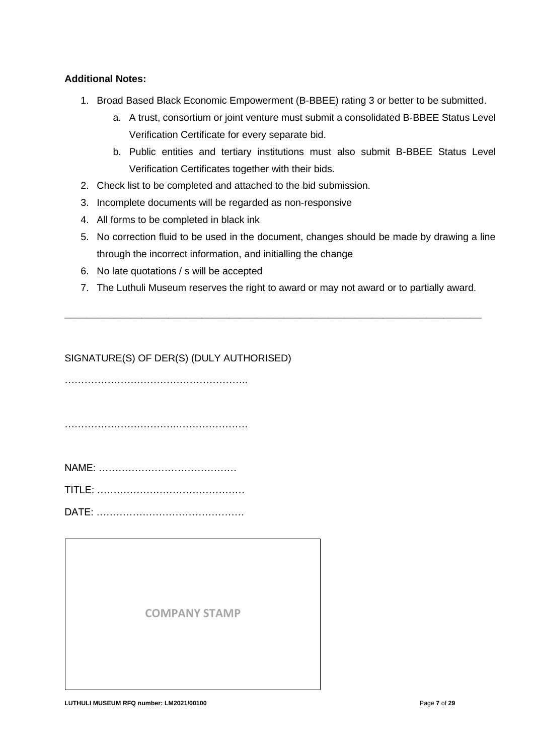### **Additional Notes:**

- 1. Broad Based Black Economic Empowerment (B-BBEE) rating 3 or better to be submitted.
	- a. A trust, consortium or joint venture must submit a consolidated B-BBEE Status Level Verification Certificate for every separate bid.
	- b. Public entities and tertiary institutions must also submit B-BBEE Status Level Verification Certificates together with their bids.
- 2. Check list to be completed and attached to the bid submission.
- 3. Incomplete documents will be regarded as non-responsive
- 4. All forms to be completed in black ink
- 5. No correction fluid to be used in the document, changes should be made by drawing a line through the incorrect information, and initialling the change
- 6. No late quotations / s will be accepted
- 7. The Luthuli Museum reserves the right to award or may not award or to partially award.

**\_\_\_\_\_\_\_\_\_\_\_\_\_\_\_\_\_\_\_\_\_\_\_\_\_\_\_\_\_\_\_\_\_\_\_\_\_\_\_\_\_\_\_\_\_\_\_\_\_\_\_\_\_\_\_\_\_\_\_\_\_\_\_\_\_\_\_\_\_\_\_\_\_\_\_\_**

# SIGNATURE(S) OF DER(S) (DULY AUTHORISED)

………………………………………………..

…………………………….………………….

TITLE: ………………………………………

DATE: ………………………………………

**COMPANY STAMP**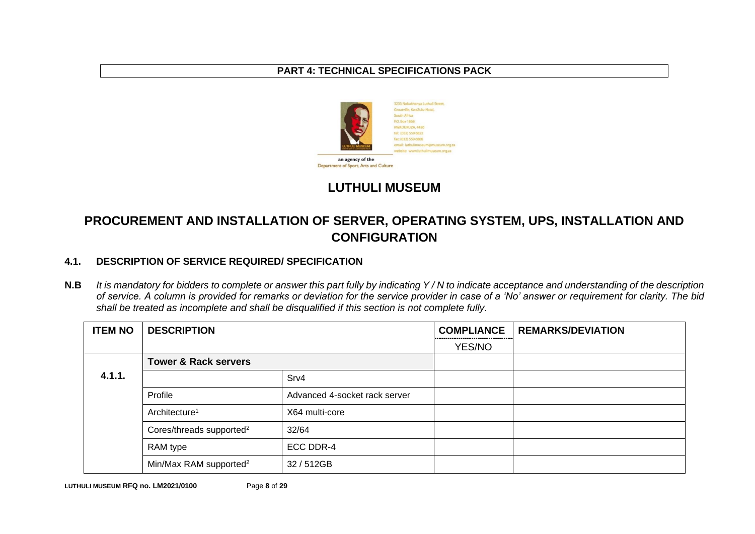### **PART 4: TECHNICAL SPECIFICATIONS PACK**



# **LUTHULI MUSEUM**

# **PROCUREMENT AND INSTALLATION OF SERVER, OPERATING SYSTEM, UPS, INSTALLATION AND CONFIGURATION**

# **4.1. DESCRIPTION OF SERVICE REQUIRED/ SPECIFICATION**

**N.B** *It is mandatory for bidders to complete or answer this part fully by indicating Y / N to indicate acceptance and understanding of the description of service. A column is provided for remarks or deviation for the service provider in case of a 'No' answer or requirement for clarity. The bid shall be treated as incomplete and shall be disqualified if this section is not complete fully.*

| <b>ITEM NO</b> | <b>DESCRIPTION</b>                   |                               | <b>COMPLIANCE</b> | <b>REMARKS/DEVIATION</b> |
|----------------|--------------------------------------|-------------------------------|-------------------|--------------------------|
|                |                                      |                               | YES/NO            |                          |
|                | <b>Tower &amp; Rack servers</b>      |                               |                   |                          |
| 4.1.1.         |                                      | Srv4                          |                   |                          |
|                | Profile                              | Advanced 4-socket rack server |                   |                          |
|                | Architecture <sup>1</sup>            | X64 multi-core                |                   |                          |
|                | Cores/threads supported <sup>2</sup> | 32/64                         |                   |                          |
|                | RAM type                             | ECC DDR-4                     |                   |                          |
|                | Min/Max RAM supported <sup>2</sup>   | 32/512GB                      |                   |                          |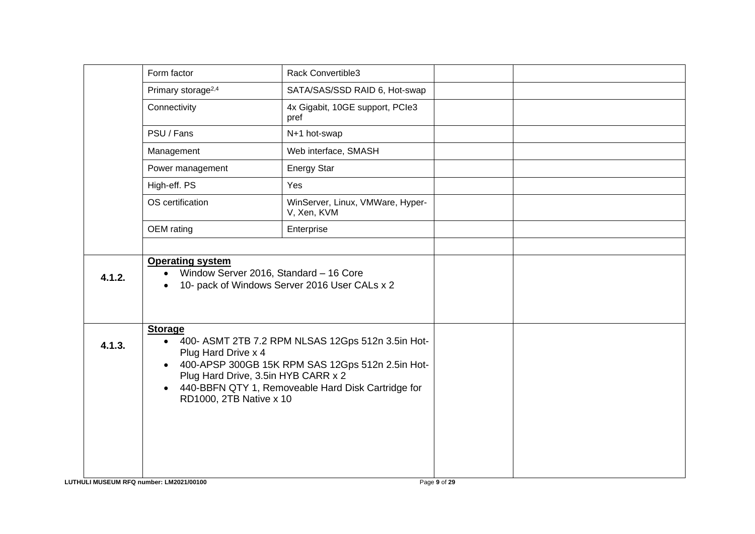|        | Form factor                                                                                                                                                                                                                                                                                                   | Rack Convertible3                               |  |
|--------|---------------------------------------------------------------------------------------------------------------------------------------------------------------------------------------------------------------------------------------------------------------------------------------------------------------|-------------------------------------------------|--|
|        | Primary storage <sup>2,4</sup>                                                                                                                                                                                                                                                                                | SATA/SAS/SSD RAID 6, Hot-swap                   |  |
|        | Connectivity                                                                                                                                                                                                                                                                                                  | 4x Gigabit, 10GE support, PCIe3<br>pref         |  |
|        | PSU / Fans                                                                                                                                                                                                                                                                                                    | N+1 hot-swap                                    |  |
|        | Management                                                                                                                                                                                                                                                                                                    | Web interface, SMASH                            |  |
|        | Power management                                                                                                                                                                                                                                                                                              | <b>Energy Star</b>                              |  |
|        | High-eff. PS                                                                                                                                                                                                                                                                                                  | Yes                                             |  |
|        | OS certification                                                                                                                                                                                                                                                                                              | WinServer, Linux, VMWare, Hyper-<br>V, Xen, KVM |  |
|        | OEM rating                                                                                                                                                                                                                                                                                                    | Enterprise                                      |  |
|        |                                                                                                                                                                                                                                                                                                               |                                                 |  |
| 4.1.2. | <b>Operating system</b><br>Window Server 2016, Standard - 16 Core<br>$\bullet$<br>$\bullet$                                                                                                                                                                                                                   | 10- pack of Windows Server 2016 User CALs x 2   |  |
| 4.1.3. | <b>Storage</b><br>400- ASMT 2TB 7.2 RPM NLSAS 12Gps 512n 3.5in Hot-<br>$\bullet$<br>Plug Hard Drive x 4<br>400-APSP 300GB 15K RPM SAS 12Gps 512n 2.5in Hot-<br>$\bullet$<br>Plug Hard Drive, 3.5in HYB CARR x 2<br>440-BBFN QTY 1, Removeable Hard Disk Cartridge for<br>$\bullet$<br>RD1000, 2TB Native x 10 |                                                 |  |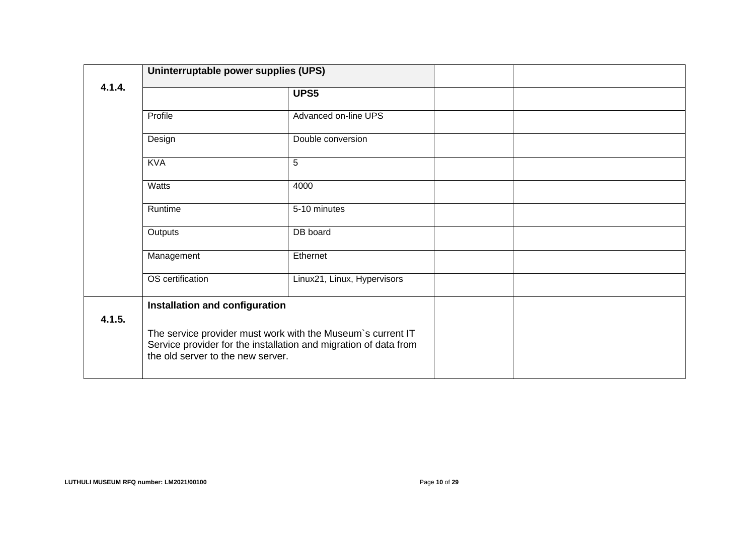|        | Uninterruptable power supplies (UPS)                                                                                                                                 |                             |  |
|--------|----------------------------------------------------------------------------------------------------------------------------------------------------------------------|-----------------------------|--|
| 4.1.4. | UPS5                                                                                                                                                                 |                             |  |
|        | Profile                                                                                                                                                              | Advanced on-line UPS        |  |
|        | Design                                                                                                                                                               | Double conversion           |  |
|        | <b>KVA</b>                                                                                                                                                           | 5                           |  |
|        | <b>Watts</b>                                                                                                                                                         | 4000                        |  |
|        | Runtime                                                                                                                                                              | 5-10 minutes                |  |
|        | Outputs                                                                                                                                                              | DB board                    |  |
|        | Management                                                                                                                                                           | Ethernet                    |  |
|        | OS certification                                                                                                                                                     | Linux21, Linux, Hypervisors |  |
| 4.1.5. | Installation and configuration                                                                                                                                       |                             |  |
|        | The service provider must work with the Museum's current IT<br>Service provider for the installation and migration of data from<br>the old server to the new server. |                             |  |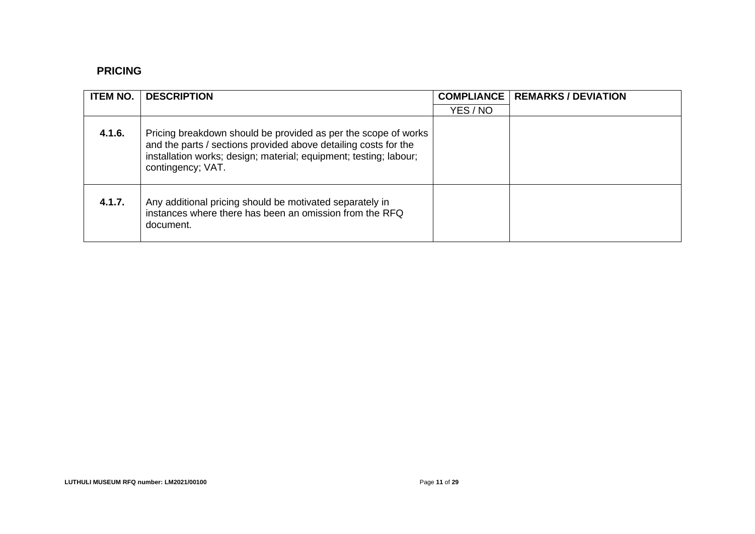# **PRICING**

| <b>ITEM NO.</b> | <b>DESCRIPTION</b>                                                                                                                                                                                                          | <b>COMPLIANCE</b> | <b>REMARKS / DEVIATION</b> |
|-----------------|-----------------------------------------------------------------------------------------------------------------------------------------------------------------------------------------------------------------------------|-------------------|----------------------------|
|                 |                                                                                                                                                                                                                             | YES / NO          |                            |
| 4.1.6.          | Pricing breakdown should be provided as per the scope of works<br>and the parts / sections provided above detailing costs for the<br>installation works; design; material; equipment; testing; labour;<br>contingency; VAT. |                   |                            |
| 4.1.7.          | Any additional pricing should be motivated separately in<br>instances where there has been an omission from the RFQ<br>document.                                                                                            |                   |                            |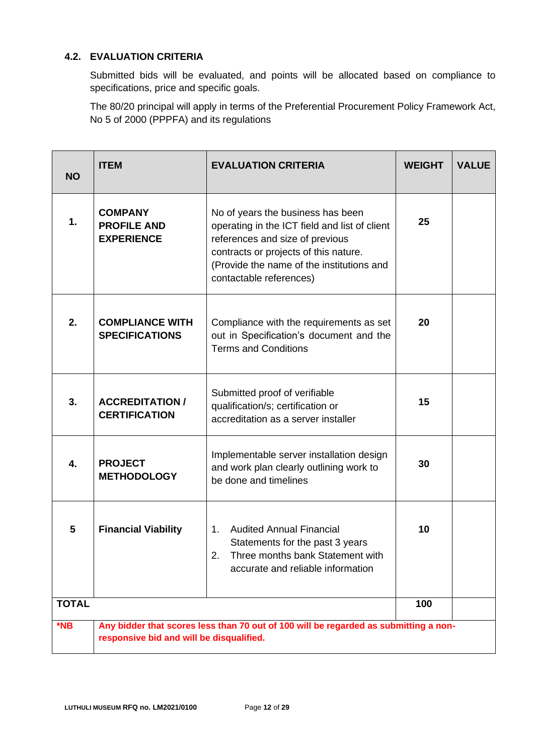# **4.2. EVALUATION CRITERIA**

Submitted bids will be evaluated, and points will be allocated based on compliance to specifications, price and specific goals.

The 80/20 principal will apply in terms of the Preferential Procurement Policy Framework Act, No 5 of 2000 (PPPFA) and its regulations

| <b>NO</b>        | <b>ITEM</b>                                               | <b>EVALUATION CRITERIA</b>                                                                                                                                                                                                             | <b>WEIGHT</b> | <b>VALUE</b> |
|------------------|-----------------------------------------------------------|----------------------------------------------------------------------------------------------------------------------------------------------------------------------------------------------------------------------------------------|---------------|--------------|
| 1.               | <b>COMPANY</b><br><b>PROFILE AND</b><br><b>EXPERIENCE</b> | No of years the business has been<br>operating in the ICT field and list of client<br>references and size of previous<br>contracts or projects of this nature.<br>(Provide the name of the institutions and<br>contactable references) | 25            |              |
| 2.               | <b>COMPLIANCE WITH</b><br><b>SPECIFICATIONS</b>           | Compliance with the requirements as set<br>out in Specification's document and the<br><b>Terms and Conditions</b>                                                                                                                      | 20            |              |
| 3.               | <b>ACCREDITATION /</b><br><b>CERTIFICATION</b>            | Submitted proof of verifiable<br>qualification/s; certification or<br>accreditation as a server installer                                                                                                                              | 15            |              |
| $\overline{4}$ . | <b>PROJECT</b><br><b>METHODOLOGY</b>                      | Implementable server installation design<br>and work plan clearly outlining work to<br>be done and timelines                                                                                                                           | 30            |              |
| 5                | <b>Financial Viability</b>                                | <b>Audited Annual Financial</b><br>1.<br>Statements for the past 3 years<br>Three months bank Statement with<br>2.<br>accurate and reliable information                                                                                | 10            |              |
| <b>TOTAL</b>     |                                                           |                                                                                                                                                                                                                                        | 100           |              |
| $*$ NB           | responsive bid and will be disqualified.                  | Any bidder that scores less than 70 out of 100 will be regarded as submitting a non-                                                                                                                                                   |               |              |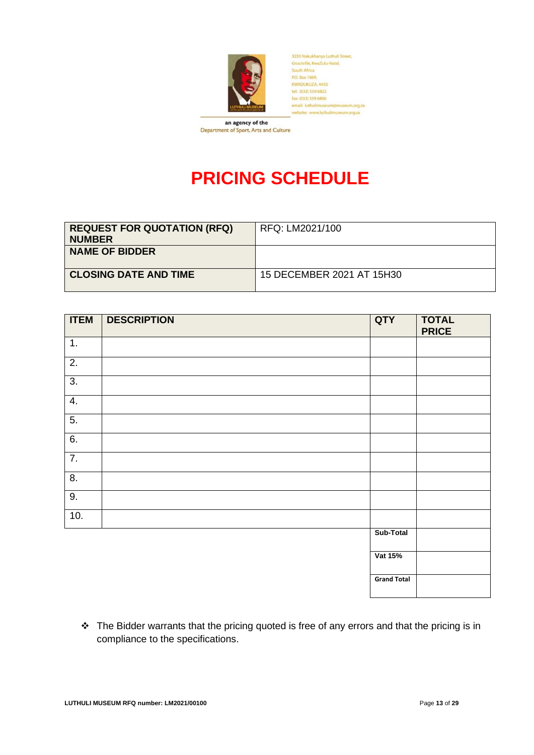

3233 Nokukhanya Luthuli Street,<br>Groutville, KwaZulu-Natal, South Africa P.O. Box 1869. KWADUKUZA, 4450 tel: (032) 559 6822 fax: (032) 559 6806 email: luthulimuseum@museum.org.za<br>website: www.luthulimuseum.org.za

an agency of the Department of Sport, Arts and Culture

# **PRICING SCHEDULE**

| <b>REQUEST FOR QUOTATION (RFQ)</b><br><b>NUMBER</b> | RFQ: LM2021/100           |
|-----------------------------------------------------|---------------------------|
| <b>NAME OF BIDDER</b>                               |                           |
| <b>CLOSING DATE AND TIME</b>                        | 15 DECEMBER 2021 AT 15H30 |

| <b>ITEM</b>      | <b>DESCRIPTION</b> | QTY                | <b>TOTAL</b><br><b>PRICE</b> |
|------------------|--------------------|--------------------|------------------------------|
| 1.               |                    |                    |                              |
| $\overline{2}$ . |                    |                    |                              |
| $\overline{3}$ . |                    |                    |                              |
| 4.               |                    |                    |                              |
| 5.               |                    |                    |                              |
| 6.               |                    |                    |                              |
| $\overline{7}$ . |                    |                    |                              |
| $\overline{8}$ . |                    |                    |                              |
| 9.               |                    |                    |                              |
| 10.              |                    |                    |                              |
|                  |                    | Sub-Total          |                              |
|                  |                    | Vat 15%            |                              |
|                  |                    | <b>Grand Total</b> |                              |

❖ The Bidder warrants that the pricing quoted is free of any errors and that the pricing is in compliance to the specifications.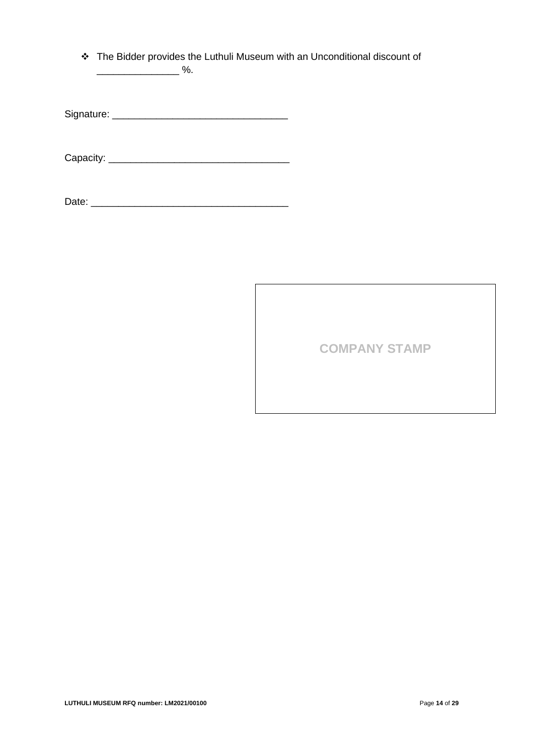❖ The Bidder provides the Luthuli Museum with an Unconditional discount of  $\overline{\phantom{a}}$  %.

Signature: \_\_\_\_\_\_\_\_\_\_\_\_\_\_\_\_\_\_\_\_\_\_\_\_\_\_\_\_\_\_\_\_

Capacity: \_\_\_\_\_\_\_\_\_\_\_\_\_\_\_\_\_\_\_\_\_\_\_\_\_\_\_\_\_\_\_\_\_

**COMPANY STAMP**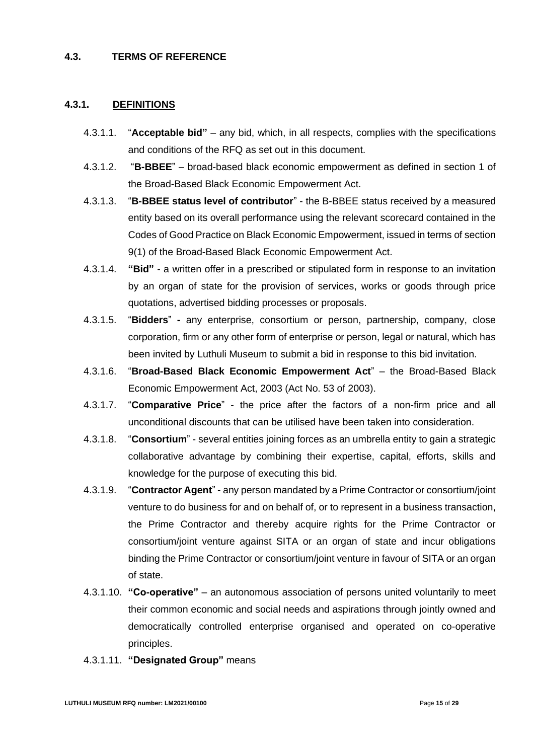#### **4.3. TERMS OF REFERENCE**

#### **4.3.1. DEFINITIONS**

- 4.3.1.1. "**Acceptable bid"** any bid, which, in all respects, complies with the specifications and conditions of the RFQ as set out in this document.
- 4.3.1.2. "**B-BBEE**" broad-based black economic empowerment as defined in section 1 of the Broad-Based Black Economic Empowerment Act.
- 4.3.1.3. "**B-BBEE status level of contributor**" the B-BBEE status received by a measured entity based on its overall performance using the relevant scorecard contained in the Codes of Good Practice on Black Economic Empowerment, issued in terms of section 9(1) of the Broad-Based Black Economic Empowerment Act.
- 4.3.1.4. **"Bid"** a written offer in a prescribed or stipulated form in response to an invitation by an organ of state for the provision of services, works or goods through price quotations, advertised bidding processes or proposals.
- 4.3.1.5. "**Bidders**" **-** any enterprise, consortium or person, partnership, company, close corporation, firm or any other form of enterprise or person, legal or natural, which has been invited by Luthuli Museum to submit a bid in response to this bid invitation.
- 4.3.1.6. "**Broad-Based Black Economic Empowerment Act**" the Broad-Based Black Economic Empowerment Act, 2003 (Act No. 53 of 2003).
- 4.3.1.7. "**Comparative Price**" the price after the factors of a non-firm price and all unconditional discounts that can be utilised have been taken into consideration.
- 4.3.1.8. "**Consortium**" several entities joining forces as an umbrella entity to gain a strategic collaborative advantage by combining their expertise, capital, efforts, skills and knowledge for the purpose of executing this bid.
- 4.3.1.9. "**Contractor Agent**" any person mandated by a Prime Contractor or consortium/joint venture to do business for and on behalf of, or to represent in a business transaction, the Prime Contractor and thereby acquire rights for the Prime Contractor or consortium/joint venture against SITA or an organ of state and incur obligations binding the Prime Contractor or consortium/joint venture in favour of SITA or an organ of state.
- 4.3.1.10. **"Co-operative"** an autonomous association of persons united voluntarily to meet their common economic and social needs and aspirations through jointly owned and democratically controlled enterprise organised and operated on co-operative principles.
- 4.3.1.11. **"Designated Group"** means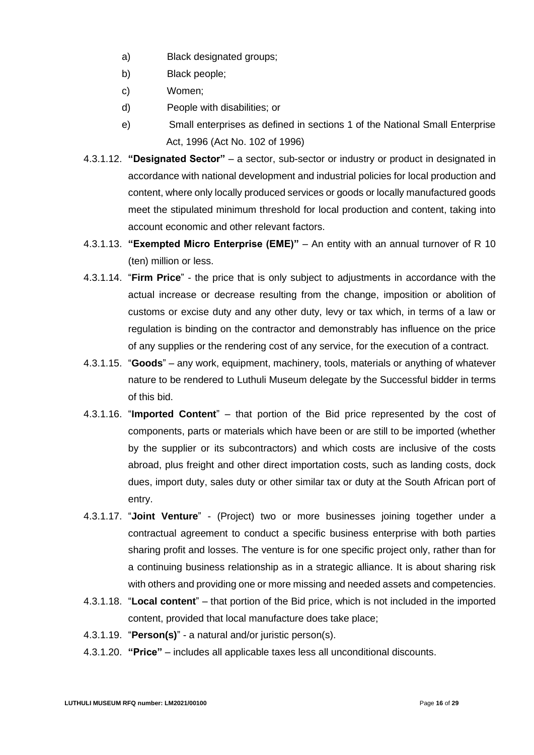- a) Black designated groups;
- b) Black people;
- c) Women;
- d) People with disabilities; or
- e) Small enterprises as defined in sections 1 of the National Small Enterprise Act, 1996 (Act No. 102 of 1996)
- 4.3.1.12. **"Designated Sector"** a sector, sub-sector or industry or product in designated in accordance with national development and industrial policies for local production and content, where only locally produced services or goods or locally manufactured goods meet the stipulated minimum threshold for local production and content, taking into account economic and other relevant factors.
- 4.3.1.13. **"Exempted Micro Enterprise (EME)"** An entity with an annual turnover of R 10 (ten) million or less.
- 4.3.1.14. "**Firm Price**" the price that is only subject to adjustments in accordance with the actual increase or decrease resulting from the change, imposition or abolition of customs or excise duty and any other duty, levy or tax which, in terms of a law or regulation is binding on the contractor and demonstrably has influence on the price of any supplies or the rendering cost of any service, for the execution of a contract.
- 4.3.1.15. "**Goods**" any work, equipment, machinery, tools, materials or anything of whatever nature to be rendered to Luthuli Museum delegate by the Successful bidder in terms of this bid.
- 4.3.1.16. "**Imported Content**" that portion of the Bid price represented by the cost of components, parts or materials which have been or are still to be imported (whether by the supplier or its subcontractors) and which costs are inclusive of the costs abroad, plus freight and other direct importation costs, such as landing costs, dock dues, import duty, sales duty or other similar tax or duty at the South African port of entry.
- 4.3.1.17. "**Joint Venture**" (Project) two or more businesses joining together under a contractual agreement to conduct a specific business enterprise with both parties sharing profit and losses. The venture is for one specific project only, rather than for a continuing business relationship as in a strategic alliance. It is about sharing risk with others and providing one or more missing and needed assets and competencies.
- 4.3.1.18. "**Local content**" that portion of the Bid price, which is not included in the imported content, provided that local manufacture does take place;
- 4.3.1.19. "**Person(s)**" a natural and/or juristic person(s).
- 4.3.1.20. **"Price"** includes all applicable taxes less all unconditional discounts.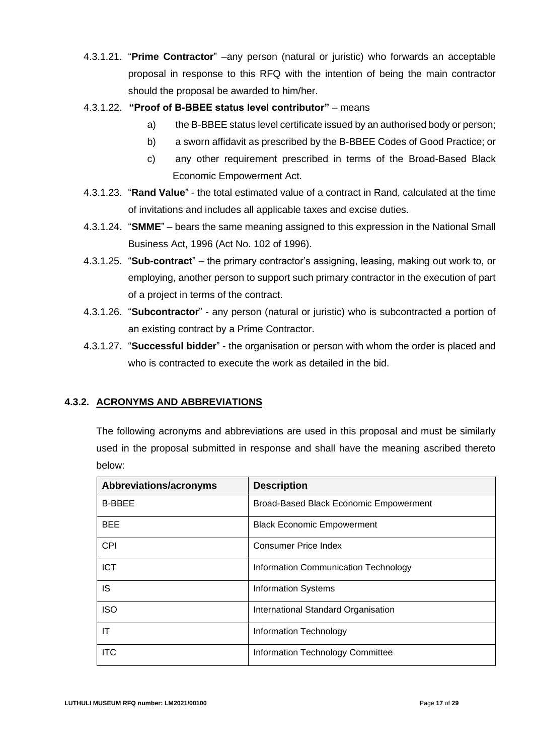- 4.3.1.21. "**Prime Contractor**" –any person (natural or juristic) who forwards an acceptable proposal in response to this RFQ with the intention of being the main contractor should the proposal be awarded to him/her.
- 4.3.1.22. **"Proof of B-BBEE status level contributor"** means
	- a) the B-BBEE status level certificate issued by an authorised body or person;
	- b) a sworn affidavit as prescribed by the B-BBEE Codes of Good Practice; or
	- c) any other requirement prescribed in terms of the Broad-Based Black Economic Empowerment Act.
- 4.3.1.23. "**Rand Value**" the total estimated value of a contract in Rand, calculated at the time of invitations and includes all applicable taxes and excise duties.
- 4.3.1.24. "**SMME**" bears the same meaning assigned to this expression in the National Small Business Act, 1996 (Act No. 102 of 1996).
- 4.3.1.25. "**Sub-contract**" the primary contractor's assigning, leasing, making out work to, or employing, another person to support such primary contractor in the execution of part of a project in terms of the contract.
- 4.3.1.26. "**Subcontractor**" any person (natural or juristic) who is subcontracted a portion of an existing contract by a Prime Contractor.
- 4.3.1.27. "**Successful bidder**" the organisation or person with whom the order is placed and who is contracted to execute the work as detailed in the bid.

# **4.3.2. ACRONYMS AND ABBREVIATIONS**

The following acronyms and abbreviations are used in this proposal and must be similarly used in the proposal submitted in response and shall have the meaning ascribed thereto below:

| Abbreviations/acronyms | <b>Description</b>                            |
|------------------------|-----------------------------------------------|
| <b>B-BBEE</b>          | <b>Broad-Based Black Economic Empowerment</b> |
| <b>BEE</b>             | <b>Black Economic Empowerment</b>             |
| <b>CPI</b>             | <b>Consumer Price Index</b>                   |
| <b>ICT</b>             | Information Communication Technology          |
| IS                     | <b>Information Systems</b>                    |
| <b>ISO</b>             | International Standard Organisation           |
| ΙT                     | Information Technology                        |
| <b>ITC</b>             | Information Technology Committee              |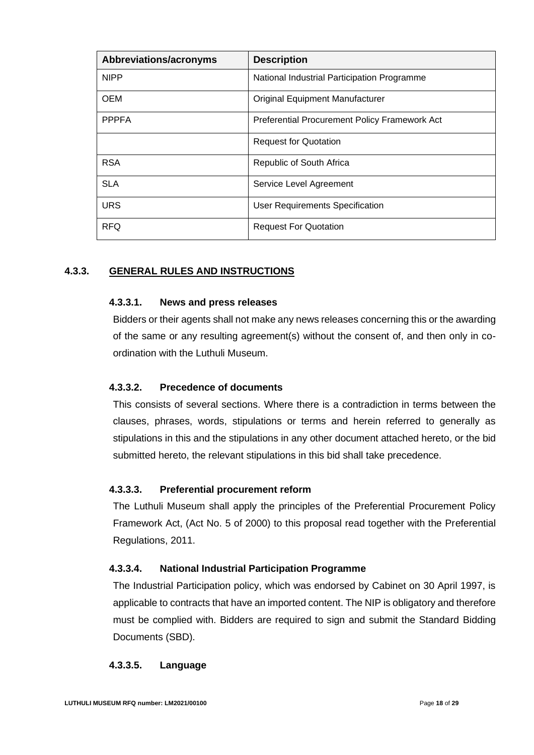| Abbreviations/acronyms | <b>Description</b>                            |
|------------------------|-----------------------------------------------|
| <b>NIPP</b>            | National Industrial Participation Programme   |
| <b>OEM</b>             | <b>Original Equipment Manufacturer</b>        |
| <b>PPPFA</b>           | Preferential Procurement Policy Framework Act |
|                        | <b>Request for Quotation</b>                  |
| <b>RSA</b>             | Republic of South Africa                      |
| <b>SLA</b>             | Service Level Agreement                       |
| <b>URS</b>             | <b>User Requirements Specification</b>        |
| <b>RFQ</b>             | <b>Request For Quotation</b>                  |

# **4.3.3. GENERAL RULES AND INSTRUCTIONS**

#### **4.3.3.1. News and press releases**

Bidders or their agents shall not make any news releases concerning this or the awarding of the same or any resulting agreement(s) without the consent of, and then only in coordination with the Luthuli Museum.

#### **4.3.3.2. Precedence of documents**

This consists of several sections. Where there is a contradiction in terms between the clauses, phrases, words, stipulations or terms and herein referred to generally as stipulations in this and the stipulations in any other document attached hereto, or the bid submitted hereto, the relevant stipulations in this bid shall take precedence.

#### **4.3.3.3. Preferential procurement reform**

The Luthuli Museum shall apply the principles of the Preferential Procurement Policy Framework Act, (Act No. 5 of 2000) to this proposal read together with the Preferential Regulations, 2011.

#### **4.3.3.4. National Industrial Participation Programme**

The Industrial Participation policy, which was endorsed by Cabinet on 30 April 1997, is applicable to contracts that have an imported content. The NIP is obligatory and therefore must be complied with. Bidders are required to sign and submit the Standard Bidding Documents (SBD).

#### **4.3.3.5. Language**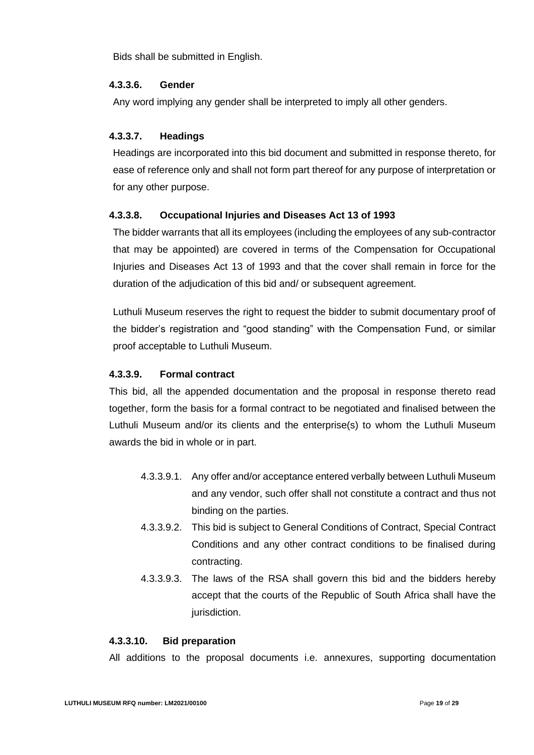Bids shall be submitted in English.

#### **4.3.3.6. Gender**

Any word implying any gender shall be interpreted to imply all other genders.

#### **4.3.3.7. Headings**

Headings are incorporated into this bid document and submitted in response thereto, for ease of reference only and shall not form part thereof for any purpose of interpretation or for any other purpose.

#### **4.3.3.8. Occupational Injuries and Diseases Act 13 of 1993**

The bidder warrants that all its employees (including the employees of any sub-contractor that may be appointed) are covered in terms of the Compensation for Occupational Injuries and Diseases Act 13 of 1993 and that the cover shall remain in force for the duration of the adjudication of this bid and/ or subsequent agreement.

Luthuli Museum reserves the right to request the bidder to submit documentary proof of the bidder's registration and "good standing" with the Compensation Fund, or similar proof acceptable to Luthuli Museum.

#### **4.3.3.9. Formal contract**

This bid, all the appended documentation and the proposal in response thereto read together, form the basis for a formal contract to be negotiated and finalised between the Luthuli Museum and/or its clients and the enterprise(s) to whom the Luthuli Museum awards the bid in whole or in part.

- 4.3.3.9.1. Any offer and/or acceptance entered verbally between Luthuli Museum and any vendor, such offer shall not constitute a contract and thus not binding on the parties.
- 4.3.3.9.2. This bid is subject to General Conditions of Contract, Special Contract Conditions and any other contract conditions to be finalised during contracting.
- 4.3.3.9.3. The laws of the RSA shall govern this bid and the bidders hereby accept that the courts of the Republic of South Africa shall have the jurisdiction.

#### **4.3.3.10. Bid preparation**

All additions to the proposal documents i.e. annexures, supporting documentation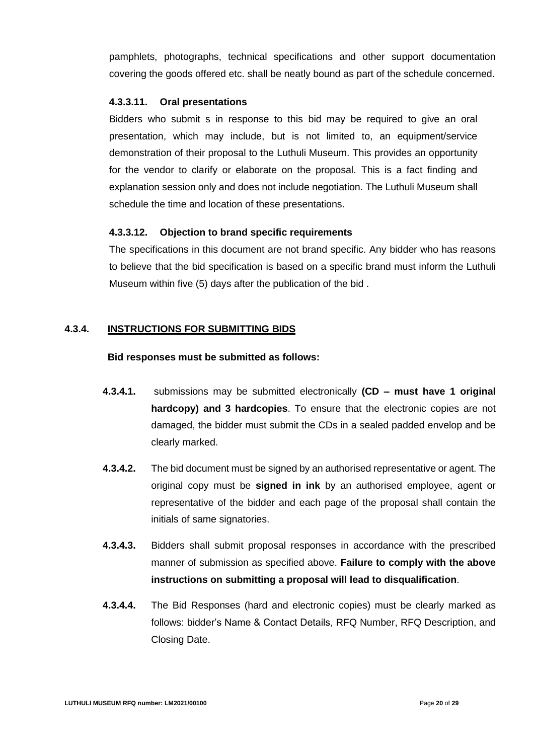pamphlets, photographs, technical specifications and other support documentation covering the goods offered etc. shall be neatly bound as part of the schedule concerned.

#### **4.3.3.11. Oral presentations**

Bidders who submit s in response to this bid may be required to give an oral presentation, which may include, but is not limited to, an equipment/service demonstration of their proposal to the Luthuli Museum. This provides an opportunity for the vendor to clarify or elaborate on the proposal. This is a fact finding and explanation session only and does not include negotiation. The Luthuli Museum shall schedule the time and location of these presentations.

# **4.3.3.12. Objection to brand specific requirements**

The specifications in this document are not brand specific. Any bidder who has reasons to believe that the bid specification is based on a specific brand must inform the Luthuli Museum within five (5) days after the publication of the bid .

# **4.3.4. INSTRUCTIONS FOR SUBMITTING BIDS**

#### **Bid responses must be submitted as follows:**

- **4.3.4.1.** submissions may be submitted electronically **(CD – must have 1 original hardcopy) and 3 hardcopies**. To ensure that the electronic copies are not damaged, the bidder must submit the CDs in a sealed padded envelop and be clearly marked.
- **4.3.4.2.** The bid document must be signed by an authorised representative or agent. The original copy must be **signed in ink** by an authorised employee, agent or representative of the bidder and each page of the proposal shall contain the initials of same signatories.
- **4.3.4.3.** Bidders shall submit proposal responses in accordance with the prescribed manner of submission as specified above. **Failure to comply with the above instructions on submitting a proposal will lead to disqualification**.
- **4.3.4.4.** The Bid Responses (hard and electronic copies) must be clearly marked as follows: bidder's Name & Contact Details, RFQ Number, RFQ Description, and Closing Date.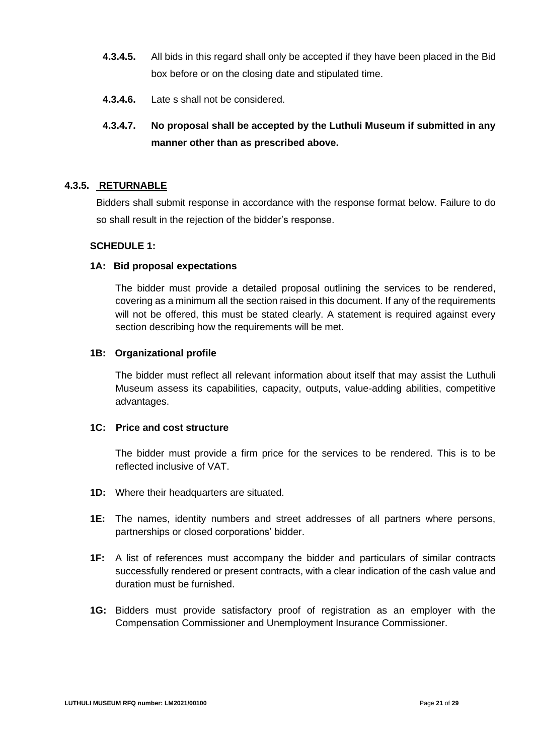- **4.3.4.5.** All bids in this regard shall only be accepted if they have been placed in the Bid box before or on the closing date and stipulated time.
- **4.3.4.6.** Late s shall not be considered.

# **4.3.4.7. No proposal shall be accepted by the Luthuli Museum if submitted in any manner other than as prescribed above.**

### **4.3.5. RETURNABLE**

Bidders shall submit response in accordance with the response format below. Failure to do so shall result in the rejection of the bidder's response.

### **SCHEDULE 1:**

#### **1A: Bid proposal expectations**

The bidder must provide a detailed proposal outlining the services to be rendered, covering as a minimum all the section raised in this document. If any of the requirements will not be offered, this must be stated clearly. A statement is required against every section describing how the requirements will be met.

#### **1B: Organizational profile**

The bidder must reflect all relevant information about itself that may assist the Luthuli Museum assess its capabilities, capacity, outputs, value-adding abilities, competitive advantages.

### **1C: Price and cost structure**

The bidder must provide a firm price for the services to be rendered. This is to be reflected inclusive of VAT.

- **1D:** Where their headquarters are situated.
- **1E:** The names, identity numbers and street addresses of all partners where persons, partnerships or closed corporations' bidder.
- **1F:** A list of references must accompany the bidder and particulars of similar contracts successfully rendered or present contracts, with a clear indication of the cash value and duration must be furnished.
- **1G:** Bidders must provide satisfactory proof of registration as an employer with the Compensation Commissioner and Unemployment Insurance Commissioner.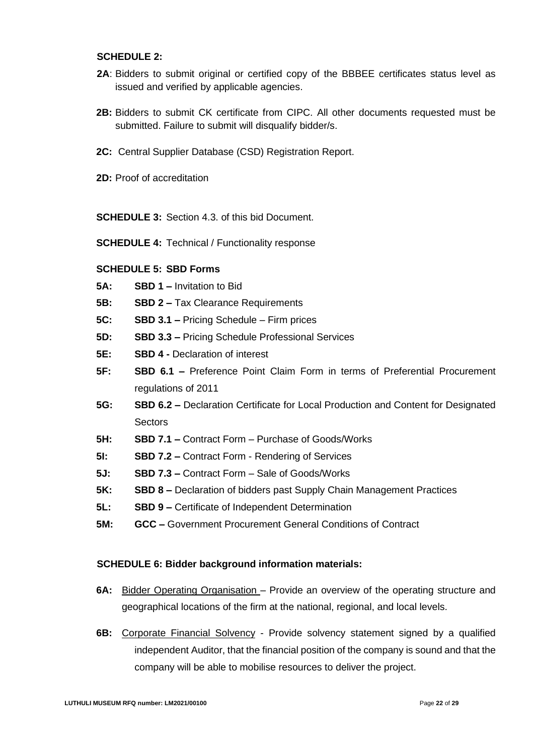#### **SCHEDULE 2:**

- 2A: Bidders to submit original or certified copy of the BBBEE certificates status level as issued and verified by applicable agencies.
- **2B:** Bidders to submit CK certificate from CIPC. All other documents requested must be submitted. Failure to submit will disqualify bidder/s.
- **2C:** Central Supplier Database (CSD) Registration Report.
- **2D:** Proof of accreditation

**SCHEDULE 3:** Section 4.3. of this bid Document.

**SCHEDULE 4:** Technical / Functionality response

#### **SCHEDULE 5: SBD Forms**

- **5A: SBD 1 –** Invitation to Bid
- **5B: SBD 2 –** Tax Clearance Requirements
- **5C: SBD 3.1 –** Pricing Schedule Firm prices
- **5D: SBD 3.3 –** Pricing Schedule Professional Services
- **5E: SBD 4 -** Declaration of interest
- **5F: SBD 6.1 –** Preference Point Claim Form in terms of Preferential Procurement regulations of 2011
- **5G: SBD 6.2 –** Declaration Certificate for Local Production and Content for Designated **Sectors**
- **5H: SBD 7.1 –** Contract Form Purchase of Goods/Works
- **5I: SBD 7.2 –** Contract Form Rendering of Services
- **5J: SBD 7.3 –** Contract Form Sale of Goods/Works
- **5K: SBD 8 –** Declaration of bidders past Supply Chain Management Practices
- **5L: SBD 9 –** Certificate of Independent Determination
- **5M: GCC –** Government Procurement General Conditions of Contract

#### **SCHEDULE 6: Bidder background information materials:**

- **6A:** Bidder Operating Organisation Provide an overview of the operating structure and geographical locations of the firm at the national, regional, and local levels.
- **6B:** Corporate Financial Solvency Provide solvency statement signed by a qualified independent Auditor, that the financial position of the company is sound and that the company will be able to mobilise resources to deliver the project.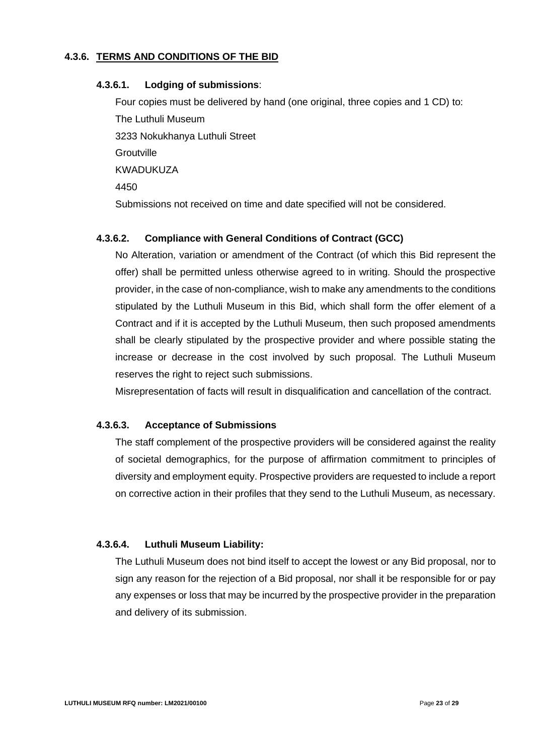### **4.3.6. TERMS AND CONDITIONS OF THE BID**

#### **4.3.6.1. Lodging of submissions**:

Four copies must be delivered by hand (one original, three copies and 1 CD) to: The Luthuli Museum 3233 Nokukhanya Luthuli Street **Groutville** KWADUKUZA 4450 Submissions not received on time and date specified will not be considered.

# **4.3.6.2. Compliance with General Conditions of Contract (GCC)**

No Alteration, variation or amendment of the Contract (of which this Bid represent the offer) shall be permitted unless otherwise agreed to in writing. Should the prospective provider, in the case of non-compliance, wish to make any amendments to the conditions stipulated by the Luthuli Museum in this Bid, which shall form the offer element of a Contract and if it is accepted by the Luthuli Museum, then such proposed amendments shall be clearly stipulated by the prospective provider and where possible stating the increase or decrease in the cost involved by such proposal. The Luthuli Museum reserves the right to reject such submissions.

Misrepresentation of facts will result in disqualification and cancellation of the contract.

#### **4.3.6.3. Acceptance of Submissions**

The staff complement of the prospective providers will be considered against the reality of societal demographics, for the purpose of affirmation commitment to principles of diversity and employment equity. Prospective providers are requested to include a report on corrective action in their profiles that they send to the Luthuli Museum, as necessary.

#### **4.3.6.4. Luthuli Museum Liability:**

The Luthuli Museum does not bind itself to accept the lowest or any Bid proposal, nor to sign any reason for the rejection of a Bid proposal, nor shall it be responsible for or pay any expenses or loss that may be incurred by the prospective provider in the preparation and delivery of its submission.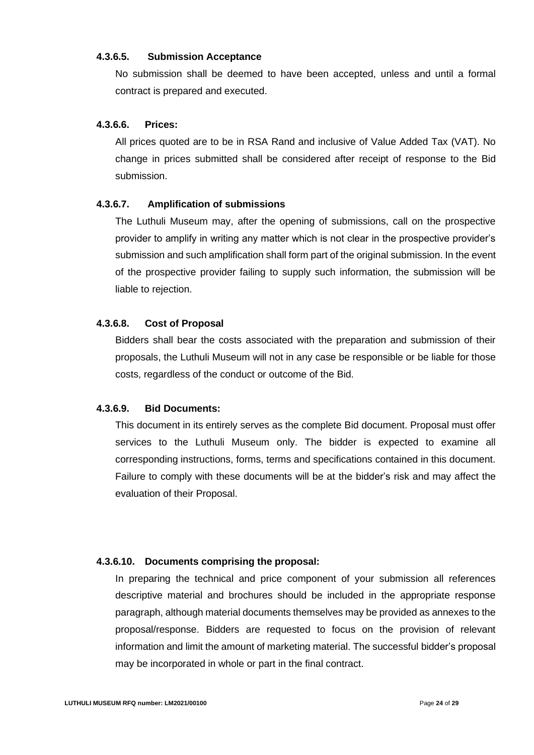#### **4.3.6.5. Submission Acceptance**

No submission shall be deemed to have been accepted, unless and until a formal contract is prepared and executed.

# **4.3.6.6. Prices:**

All prices quoted are to be in RSA Rand and inclusive of Value Added Tax (VAT). No change in prices submitted shall be considered after receipt of response to the Bid submission.

#### **4.3.6.7. Amplification of submissions**

The Luthuli Museum may, after the opening of submissions, call on the prospective provider to amplify in writing any matter which is not clear in the prospective provider's submission and such amplification shall form part of the original submission. In the event of the prospective provider failing to supply such information, the submission will be liable to rejection.

#### **4.3.6.8. Cost of Proposal**

Bidders shall bear the costs associated with the preparation and submission of their proposals, the Luthuli Museum will not in any case be responsible or be liable for those costs, regardless of the conduct or outcome of the Bid.

#### **4.3.6.9. Bid Documents:**

This document in its entirely serves as the complete Bid document. Proposal must offer services to the Luthuli Museum only. The bidder is expected to examine all corresponding instructions, forms, terms and specifications contained in this document. Failure to comply with these documents will be at the bidder's risk and may affect the evaluation of their Proposal.

#### **4.3.6.10. Documents comprising the proposal:**

In preparing the technical and price component of your submission all references descriptive material and brochures should be included in the appropriate response paragraph, although material documents themselves may be provided as annexes to the proposal/response. Bidders are requested to focus on the provision of relevant information and limit the amount of marketing material. The successful bidder's proposal may be incorporated in whole or part in the final contract.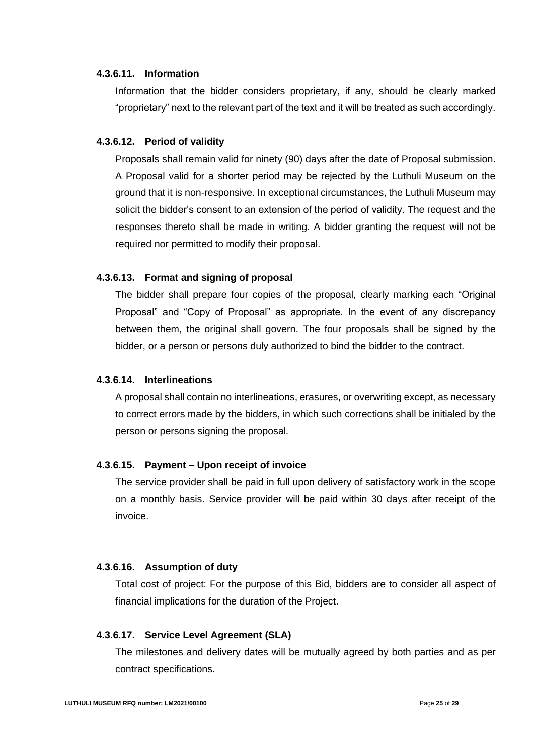#### **4.3.6.11. Information**

Information that the bidder considers proprietary, if any, should be clearly marked "proprietary" next to the relevant part of the text and it will be treated as such accordingly.

#### **4.3.6.12. Period of validity**

Proposals shall remain valid for ninety (90) days after the date of Proposal submission. A Proposal valid for a shorter period may be rejected by the Luthuli Museum on the ground that it is non-responsive. In exceptional circumstances, the Luthuli Museum may solicit the bidder's consent to an extension of the period of validity. The request and the responses thereto shall be made in writing. A bidder granting the request will not be required nor permitted to modify their proposal.

#### **4.3.6.13. Format and signing of proposal**

The bidder shall prepare four copies of the proposal, clearly marking each "Original Proposal" and "Copy of Proposal" as appropriate. In the event of any discrepancy between them, the original shall govern. The four proposals shall be signed by the bidder, or a person or persons duly authorized to bind the bidder to the contract.

#### **4.3.6.14. Interlineations**

A proposal shall contain no interlineations, erasures, or overwriting except, as necessary to correct errors made by the bidders, in which such corrections shall be initialed by the person or persons signing the proposal.

#### **4.3.6.15. Payment – Upon receipt of invoice**

The service provider shall be paid in full upon delivery of satisfactory work in the scope on a monthly basis. Service provider will be paid within 30 days after receipt of the invoice.

#### **4.3.6.16. Assumption of duty**

Total cost of project: For the purpose of this Bid, bidders are to consider all aspect of financial implications for the duration of the Project.

#### **4.3.6.17. Service Level Agreement (SLA)**

The milestones and delivery dates will be mutually agreed by both parties and as per contract specifications.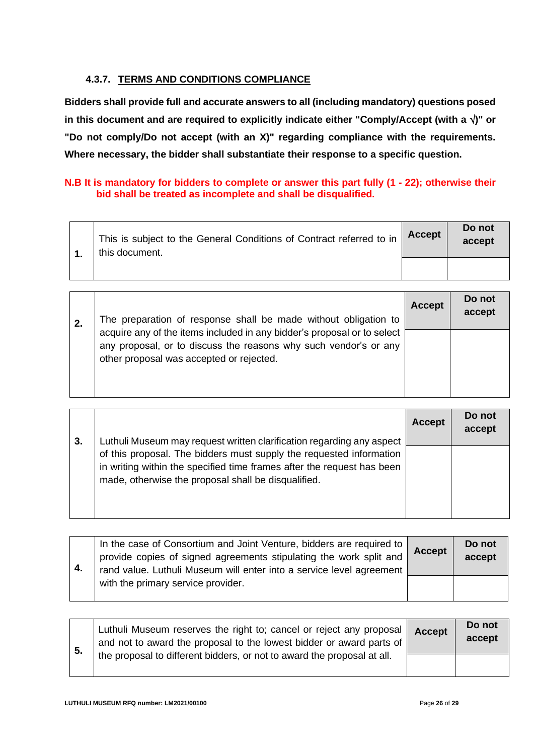# **4.3.7. TERMS AND CONDITIONS COMPLIANCE**

**Bidders shall provide full and accurate answers to all (including mandatory) questions posed in this document and are required to explicitly indicate either "Comply/Accept (with a )" or "Do not comply/Do not accept (with an X)" regarding compliance with the requirements. Where necessary, the bidder shall substantiate their response to a specific question.**

# **N.B It is mandatory for bidders to complete or answer this part fully (1 - 22); otherwise their bid shall be treated as incomplete and shall be disqualified.**

|  | This is subject to the General Conditions of Contract referred to in<br>this document. | <b>Accept</b> | Do not<br>accept |
|--|----------------------------------------------------------------------------------------|---------------|------------------|
|  |                                                                                        |               |                  |

| 2. | The preparation of response shall be made without obligation to                                                                                                                         | <b>Accept</b> | Do not<br>accept |
|----|-----------------------------------------------------------------------------------------------------------------------------------------------------------------------------------------|---------------|------------------|
|    | acquire any of the items included in any bidder's proposal or to select<br>any proposal, or to discuss the reasons why such vendor's or any<br>other proposal was accepted or rejected. |               |                  |

|    |                                                                                                                                                                                                                                                                               | <b>Accept</b> | Do not<br>accept |
|----|-------------------------------------------------------------------------------------------------------------------------------------------------------------------------------------------------------------------------------------------------------------------------------|---------------|------------------|
| 3. | Luthuli Museum may request written clarification regarding any aspect<br>of this proposal. The bidders must supply the requested information<br>in writing within the specified time frames after the request has been<br>made, otherwise the proposal shall be disqualified. |               |                  |

| 4. | In the case of Consortium and Joint Venture, bidders are required to<br>provide copies of signed agreements stipulating the work split and<br>rand value. Luthuli Museum will enter into a service level agreement | <b>Accept</b> | Do not<br>accept |
|----|--------------------------------------------------------------------------------------------------------------------------------------------------------------------------------------------------------------------|---------------|------------------|
|    | with the primary service provider.                                                                                                                                                                                 |               |                  |

| 5. | Luthuli Museum reserves the right to; cancel or reject any proposal<br>and not to award the proposal to the lowest bidder or award parts of | <b>Accept</b> | Do not<br>accept |
|----|---------------------------------------------------------------------------------------------------------------------------------------------|---------------|------------------|
|    | the proposal to different bidders, or not to award the proposal at all.                                                                     |               |                  |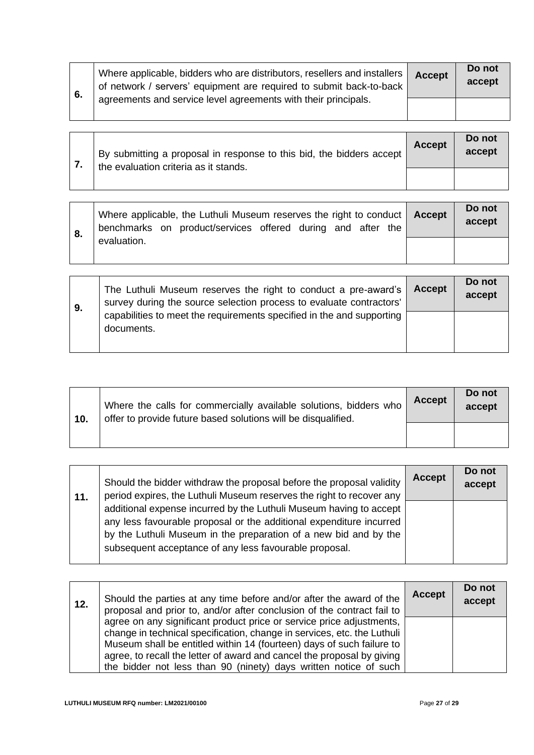| 6. | Where applicable, bidders who are distributors, resellers and installers<br>of network / servers' equipment are required to submit back-to-back | <b>Accept</b> | Do not<br>accept |
|----|-------------------------------------------------------------------------------------------------------------------------------------------------|---------------|------------------|
|    | agreements and service level agreements with their principals.                                                                                  |               |                  |

|  | By submitting a proposal in response to this bid, the bidders accept<br>the evaluation criteria as it stands. | <b>Accept</b> | Do not<br>accept |
|--|---------------------------------------------------------------------------------------------------------------|---------------|------------------|
|  |                                                                                                               |               |                  |

| 8. | Where applicable, the Luthuli Museum reserves the right to conduct   Accept<br>benchmarks on product/services offered during and after the | Do not<br>accept |
|----|--------------------------------------------------------------------------------------------------------------------------------------------|------------------|
|    | evaluation.                                                                                                                                |                  |

| 9. | The Luthuli Museum reserves the right to conduct a pre-award's<br>survey during the source selection process to evaluate contractors' | Accept | Do not<br>accept |
|----|---------------------------------------------------------------------------------------------------------------------------------------|--------|------------------|
|    | capabilities to meet the requirements specified in the and supporting<br>documents.                                                   |        |                  |

| 10. | Where the calls for commercially available solutions, bidders who<br>offer to provide future based solutions will be disqualified. | <b>Accept</b> | Do not<br>accept |
|-----|------------------------------------------------------------------------------------------------------------------------------------|---------------|------------------|
|     |                                                                                                                                    |               |                  |

| 11. | Should the bidder withdraw the proposal before the proposal validity<br>period expires, the Luthuli Museum reserves the right to recover any                                                                                                                              | <b>Accept</b> | Do not<br>accept |
|-----|---------------------------------------------------------------------------------------------------------------------------------------------------------------------------------------------------------------------------------------------------------------------------|---------------|------------------|
|     | additional expense incurred by the Luthuli Museum having to accept  <br>any less favourable proposal or the additional expenditure incurred<br>by the Luthuli Museum in the preparation of a new bid and by the<br>subsequent acceptance of any less favourable proposal. |               |                  |

| 12. | Should the parties at any time before and/or after the award of the<br>proposal and prior to, and/or after conclusion of the contract fail to                                                                                                                                                                                                                            | <b>Accept</b> | Do not<br>accept |
|-----|--------------------------------------------------------------------------------------------------------------------------------------------------------------------------------------------------------------------------------------------------------------------------------------------------------------------------------------------------------------------------|---------------|------------------|
|     | agree on any significant product price or service price adjustments,<br>change in technical specification, change in services, etc. the Luthuli  <br>Museum shall be entitled within 14 (fourteen) days of such failure to<br>agree, to recall the letter of award and cancel the proposal by giving<br>the bidder not less than 90 (ninety) days written notice of such |               |                  |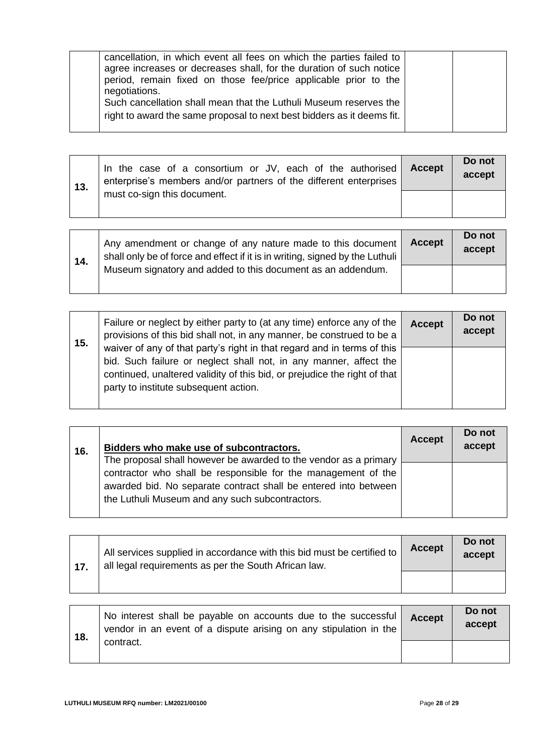| cancellation, in which event all fees on which the parties failed to   |  |
|------------------------------------------------------------------------|--|
| agree increases or decreases shall, for the duration of such notice    |  |
|                                                                        |  |
| period, remain fixed on those fee/price applicable prior to the        |  |
| negotiations.                                                          |  |
| Such cancellation shall mean that the Luthuli Museum reserves the      |  |
|                                                                        |  |
| right to award the same proposal to next best bidders as it deems fit. |  |
|                                                                        |  |
|                                                                        |  |

| 13. | In the case of a consortium or JV, each of the authorised<br>enterprise's members and/or partners of the different enterprises | <b>Accept</b> | Do not<br>accept |
|-----|--------------------------------------------------------------------------------------------------------------------------------|---------------|------------------|
|     | must co-sign this document.                                                                                                    |               |                  |

| 14. | Any amendment or change of any nature made to this document<br>shall only be of force and effect if it is in writing, signed by the Luthuli | <b>Accept</b> | Do not<br>accept |
|-----|---------------------------------------------------------------------------------------------------------------------------------------------|---------------|------------------|
|     | Museum signatory and added to this document as an addendum.                                                                                 |               |                  |

| 15. | Failure or neglect by either party to (at any time) enforce any of the<br>provisions of this bid shall not, in any manner, be construed to be a                                                                                                                    | <b>Accept</b> | Do not<br>accept |
|-----|--------------------------------------------------------------------------------------------------------------------------------------------------------------------------------------------------------------------------------------------------------------------|---------------|------------------|
|     | waiver of any of that party's right in that regard and in terms of this<br>bid. Such failure or neglect shall not, in any manner, affect the<br>continued, unaltered validity of this bid, or prejudice the right of that<br>party to institute subsequent action. |               |                  |

| 16. | Bidders who make use of subcontractors.                                                                                                                                                                                                                 | <b>Accept</b> | Do not<br>accept |
|-----|---------------------------------------------------------------------------------------------------------------------------------------------------------------------------------------------------------------------------------------------------------|---------------|------------------|
|     | The proposal shall however be awarded to the vendor as a primary<br>contractor who shall be responsible for the management of the<br>awarded bid. No separate contract shall be entered into between<br>the Luthuli Museum and any such subcontractors. |               |                  |

| 17. | All services supplied in accordance with this bid must be certified to<br>all legal requirements as per the South African law. | <b>Accept</b> | Do not<br>accept |
|-----|--------------------------------------------------------------------------------------------------------------------------------|---------------|------------------|
|     |                                                                                                                                |               |                  |

| 18. | No interest shall be payable on accounts due to the successful<br>vendor in an event of a dispute arising on any stipulation in the | <b>Accept</b> | Do not<br>accept |
|-----|-------------------------------------------------------------------------------------------------------------------------------------|---------------|------------------|
|     | contract.                                                                                                                           |               |                  |